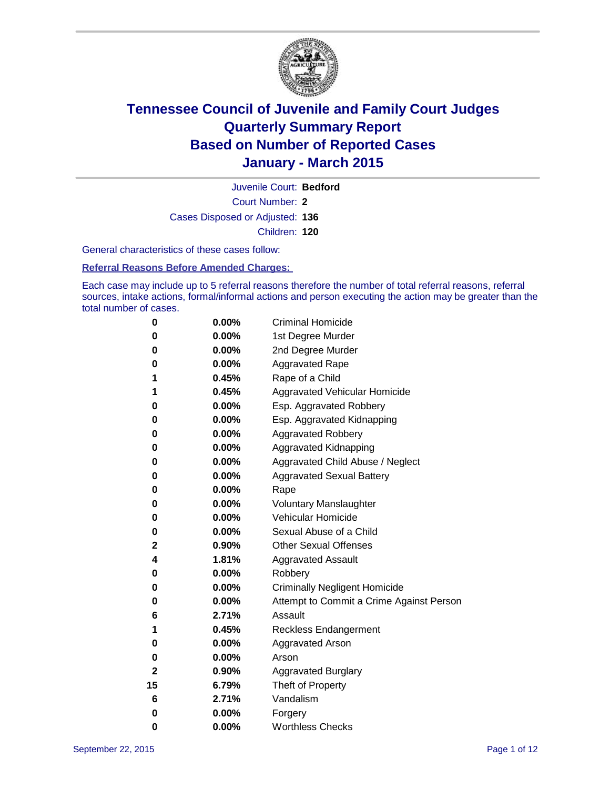

Court Number: **2** Juvenile Court: **Bedford** Cases Disposed or Adjusted: **136** Children: **120**

General characteristics of these cases follow:

#### **Referral Reasons Before Amended Charges:**

Each case may include up to 5 referral reasons therefore the number of total referral reasons, referral sources, intake actions, formal/informal actions and person executing the action may be greater than the total number of cases.

| 0  | 0.00%    | <b>Criminal Homicide</b>                 |
|----|----------|------------------------------------------|
| 0  | 0.00%    | 1st Degree Murder                        |
| 0  | 0.00%    | 2nd Degree Murder                        |
| 0  | $0.00\%$ | <b>Aggravated Rape</b>                   |
| 1  | 0.45%    | Rape of a Child                          |
| 1  | 0.45%    | Aggravated Vehicular Homicide            |
| 0  | 0.00%    | Esp. Aggravated Robbery                  |
| 0  | 0.00%    | Esp. Aggravated Kidnapping               |
| 0  | 0.00%    | <b>Aggravated Robbery</b>                |
| 0  | 0.00%    | <b>Aggravated Kidnapping</b>             |
| 0  | 0.00%    | Aggravated Child Abuse / Neglect         |
| 0  | 0.00%    | <b>Aggravated Sexual Battery</b>         |
| 0  | 0.00%    | Rape                                     |
| 0  | $0.00\%$ | <b>Voluntary Manslaughter</b>            |
| 0  | 0.00%    | <b>Vehicular Homicide</b>                |
| 0  | 0.00%    | Sexual Abuse of a Child                  |
| 2  | 0.90%    | <b>Other Sexual Offenses</b>             |
| 4  | 1.81%    | <b>Aggravated Assault</b>                |
| 0  | 0.00%    | Robbery                                  |
| 0  | 0.00%    | <b>Criminally Negligent Homicide</b>     |
| 0  | 0.00%    | Attempt to Commit a Crime Against Person |
| 6  | 2.71%    | Assault                                  |
| 1  | 0.45%    | <b>Reckless Endangerment</b>             |
| 0  | $0.00\%$ | <b>Aggravated Arson</b>                  |
| 0  | 0.00%    | Arson                                    |
| 2  | 0.90%    | <b>Aggravated Burglary</b>               |
| 15 | 6.79%    | Theft of Property                        |
| 6  | 2.71%    | Vandalism                                |
| 0  | 0.00%    | Forgery                                  |
| 0  | 0.00%    | <b>Worthless Checks</b>                  |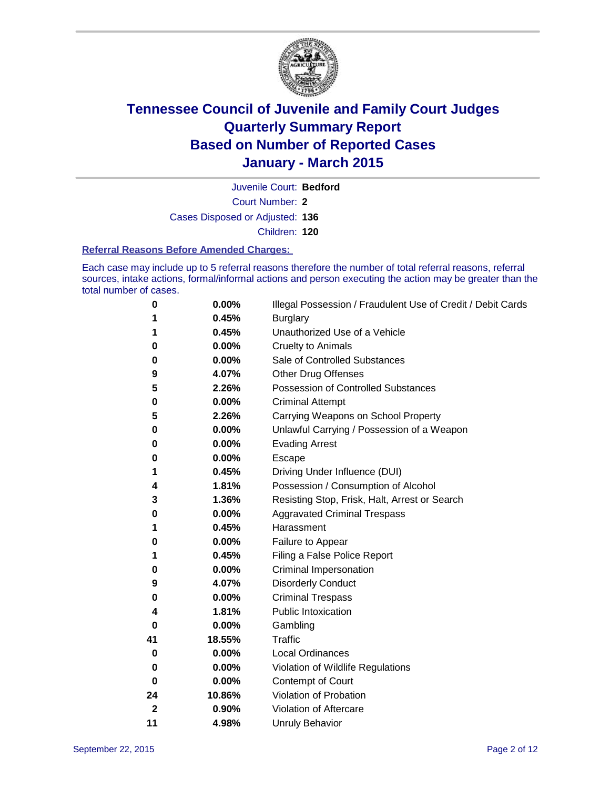

Court Number: **2** Juvenile Court: **Bedford** Cases Disposed or Adjusted: **136**

Children: **120**

#### **Referral Reasons Before Amended Charges:**

Each case may include up to 5 referral reasons therefore the number of total referral reasons, referral sources, intake actions, formal/informal actions and person executing the action may be greater than the total number of cases.

| 0           | 0.00%    | Illegal Possession / Fraudulent Use of Credit / Debit Cards |
|-------------|----------|-------------------------------------------------------------|
| 1           | 0.45%    | <b>Burglary</b>                                             |
| 1           | 0.45%    | Unauthorized Use of a Vehicle                               |
| 0           | 0.00%    | <b>Cruelty to Animals</b>                                   |
| 0           | 0.00%    | Sale of Controlled Substances                               |
| 9           | 4.07%    | <b>Other Drug Offenses</b>                                  |
| 5           | 2.26%    | Possession of Controlled Substances                         |
| 0           | 0.00%    | <b>Criminal Attempt</b>                                     |
| 5           | 2.26%    | Carrying Weapons on School Property                         |
| 0           | 0.00%    | Unlawful Carrying / Possession of a Weapon                  |
| 0           | 0.00%    | <b>Evading Arrest</b>                                       |
| 0           | 0.00%    | Escape                                                      |
| 1           | 0.45%    | Driving Under Influence (DUI)                               |
| 4           | 1.81%    | Possession / Consumption of Alcohol                         |
| 3           | 1.36%    | Resisting Stop, Frisk, Halt, Arrest or Search               |
| 0           | 0.00%    | <b>Aggravated Criminal Trespass</b>                         |
| 1           | 0.45%    | Harassment                                                  |
| 0           | 0.00%    | Failure to Appear                                           |
| 1           | 0.45%    | Filing a False Police Report                                |
| 0           | 0.00%    | Criminal Impersonation                                      |
| 9           | 4.07%    | <b>Disorderly Conduct</b>                                   |
| 0           | $0.00\%$ | <b>Criminal Trespass</b>                                    |
| 4           | 1.81%    | <b>Public Intoxication</b>                                  |
| 0           | 0.00%    | Gambling                                                    |
| 41          | 18.55%   | <b>Traffic</b>                                              |
| 0           | 0.00%    | <b>Local Ordinances</b>                                     |
| 0           | 0.00%    | Violation of Wildlife Regulations                           |
| 0           | 0.00%    | Contempt of Court                                           |
| 24          | 10.86%   | Violation of Probation                                      |
| $\mathbf 2$ | 0.90%    | Violation of Aftercare                                      |
| 11          | 4.98%    | <b>Unruly Behavior</b>                                      |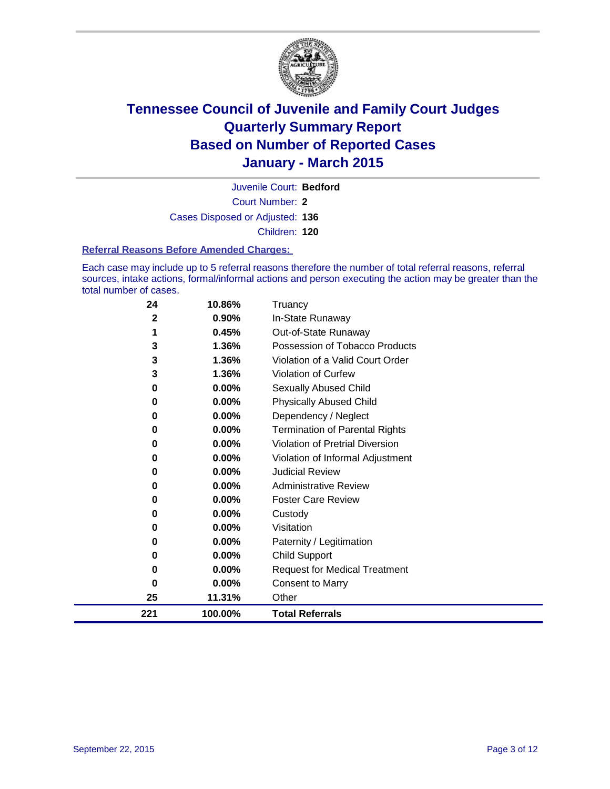

Court Number: **2** Juvenile Court: **Bedford** Cases Disposed or Adjusted: **136** Children: **120**

#### **Referral Reasons Before Amended Charges:**

Each case may include up to 5 referral reasons therefore the number of total referral reasons, referral sources, intake actions, formal/informal actions and person executing the action may be greater than the total number of cases.

| 24           | 10.86%   | Truancy                               |
|--------------|----------|---------------------------------------|
| $\mathbf{2}$ | 0.90%    | In-State Runaway                      |
| 1            | 0.45%    | Out-of-State Runaway                  |
| 3            | 1.36%    | Possession of Tobacco Products        |
| 3            | 1.36%    | Violation of a Valid Court Order      |
| 3            | 1.36%    | <b>Violation of Curfew</b>            |
| 0            | 0.00%    | Sexually Abused Child                 |
| 0            | 0.00%    | <b>Physically Abused Child</b>        |
| 0            | 0.00%    | Dependency / Neglect                  |
| 0            | 0.00%    | <b>Termination of Parental Rights</b> |
| 0            | $0.00\%$ | Violation of Pretrial Diversion       |
| 0            | 0.00%    | Violation of Informal Adjustment      |
| 0            | 0.00%    | <b>Judicial Review</b>                |
| 0            | 0.00%    | <b>Administrative Review</b>          |
| 0            | $0.00\%$ | <b>Foster Care Review</b>             |
| 0            | $0.00\%$ | Custody                               |
| 0            | 0.00%    | Visitation                            |
| 0            | 0.00%    | Paternity / Legitimation              |
| 0            | 0.00%    | <b>Child Support</b>                  |
| 0            | 0.00%    | <b>Request for Medical Treatment</b>  |
| 0            | 0.00%    | <b>Consent to Marry</b>               |
| 25           | 11.31%   | Other                                 |
| 221          | 100.00%  | <b>Total Referrals</b>                |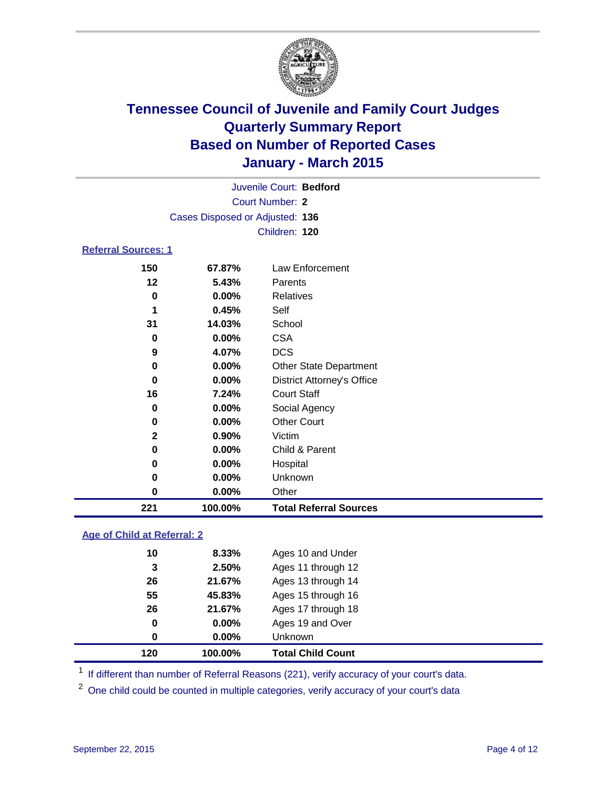

| Juvenile Court: Bedford         |  |
|---------------------------------|--|
| Court Number: 2                 |  |
| Cases Disposed or Adjusted: 136 |  |
| Children: 120                   |  |
| <b>Referral Sources: 1</b>      |  |

| 221          | 100.00%  | <b>Total Referral Sources</b>     |  |
|--------------|----------|-----------------------------------|--|
| 0            | 0.00%    | Other                             |  |
| 0            | $0.00\%$ | Unknown                           |  |
| 0            | 0.00%    | Hospital                          |  |
| 0            | 0.00%    | Child & Parent                    |  |
| $\mathbf{2}$ | 0.90%    | Victim                            |  |
| 0            | $0.00\%$ | <b>Other Court</b>                |  |
| 0            | $0.00\%$ | Social Agency                     |  |
| 16           | 7.24%    | <b>Court Staff</b>                |  |
| 0            | $0.00\%$ | <b>District Attorney's Office</b> |  |
| 0            | $0.00\%$ | <b>Other State Department</b>     |  |
| 9            | 4.07%    | DCS                               |  |
| 0            | 0.00%    | <b>CSA</b>                        |  |
| 31           | 14.03%   | School                            |  |
|              | 0.45%    | Self                              |  |
| 0            | 0.00%    | Relatives                         |  |
| 12           | 5.43%    | Parents                           |  |
| 150          | 67.87%   | Law Enforcement                   |  |

### **Age of Child at Referral: 2**

| 120 | 100.00%  | <b>Total Child Count</b> |
|-----|----------|--------------------------|
| 0   | $0.00\%$ | <b>Unknown</b>           |
| 0   | $0.00\%$ | Ages 19 and Over         |
| 26  | 21.67%   | Ages 17 through 18       |
| 55  | 45.83%   | Ages 15 through 16       |
| 26  | 21.67%   | Ages 13 through 14       |
| 3   | 2.50%    | Ages 11 through 12       |
| 10  | 8.33%    | Ages 10 and Under        |

<sup>1</sup> If different than number of Referral Reasons (221), verify accuracy of your court's data.

One child could be counted in multiple categories, verify accuracy of your court's data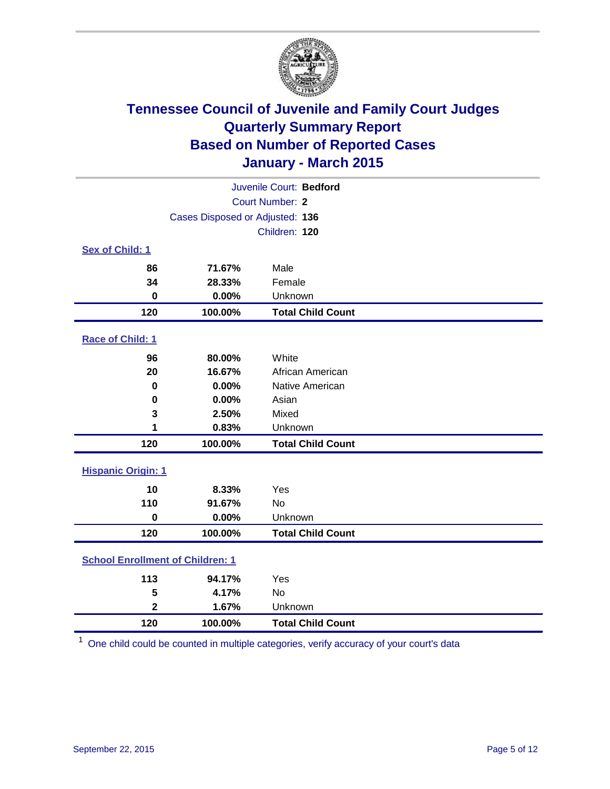

| Juvenile Court: Bedford                 |                                 |                          |  |  |
|-----------------------------------------|---------------------------------|--------------------------|--|--|
| Court Number: 2                         |                                 |                          |  |  |
|                                         | Cases Disposed or Adjusted: 136 |                          |  |  |
|                                         |                                 | Children: 120            |  |  |
| Sex of Child: 1                         |                                 |                          |  |  |
| 86                                      | 71.67%                          | Male                     |  |  |
| 34                                      | 28.33%                          | Female                   |  |  |
| $\bf{0}$                                | 0.00%                           | Unknown                  |  |  |
| 120                                     | 100.00%                         | <b>Total Child Count</b> |  |  |
| Race of Child: 1                        |                                 |                          |  |  |
| 96                                      | 80.00%                          | White                    |  |  |
| 20                                      | 16.67%                          | African American         |  |  |
| 0                                       | 0.00%                           | Native American          |  |  |
| 0                                       | 0.00%                           | Asian                    |  |  |
| 3                                       | 2.50%                           | Mixed                    |  |  |
| 1                                       | 0.83%                           | Unknown                  |  |  |
| 120                                     | 100.00%                         | <b>Total Child Count</b> |  |  |
| <b>Hispanic Origin: 1</b>               |                                 |                          |  |  |
| 10                                      | 8.33%                           | Yes                      |  |  |
| 110                                     | 91.67%                          | No                       |  |  |
| $\mathbf 0$                             | 0.00%                           | Unknown                  |  |  |
| 120                                     | 100.00%                         | <b>Total Child Count</b> |  |  |
| <b>School Enrollment of Children: 1</b> |                                 |                          |  |  |
| 113                                     | 94.17%                          | Yes                      |  |  |
| 5                                       | 4.17%                           | No                       |  |  |
| $\mathbf{2}$                            | 1.67%                           | Unknown                  |  |  |
| 120                                     | 100.00%                         | <b>Total Child Count</b> |  |  |

One child could be counted in multiple categories, verify accuracy of your court's data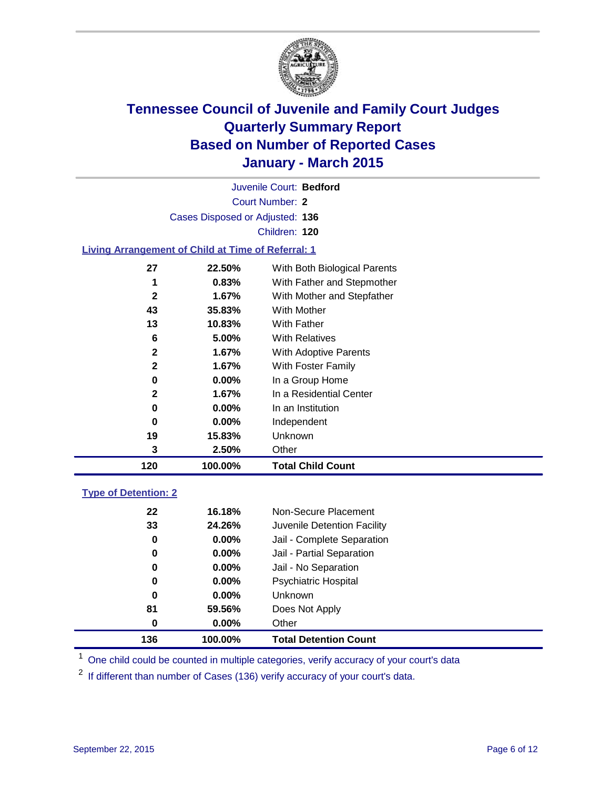

Court Number: **2** Juvenile Court: **Bedford** Cases Disposed or Adjusted: **136** Children: **120**

### **Living Arrangement of Child at Time of Referral: 1**

| 120 | 100.00%  | <b>Total Child Count</b>     |
|-----|----------|------------------------------|
| 3   | 2.50%    | Other                        |
| 19  | 15.83%   | Unknown                      |
| 0   | $0.00\%$ | Independent                  |
| 0   | $0.00\%$ | In an Institution            |
| 2   | 1.67%    | In a Residential Center      |
| 0   | $0.00\%$ | In a Group Home              |
| 2   | 1.67%    | With Foster Family           |
| 2   | 1.67%    | <b>With Adoptive Parents</b> |
| 6   | 5.00%    | <b>With Relatives</b>        |
| 13  | 10.83%   | With Father                  |
| 43  | 35.83%   | With Mother                  |
| 2   | 1.67%    | With Mother and Stepfather   |
| 1   | 0.83%    | With Father and Stepmother   |
| 27  | 22.50%   | With Both Biological Parents |
|     |          |                              |

### **Type of Detention: 2**

| 136      | 100.00%  | <b>Total Detention Count</b> |
|----------|----------|------------------------------|
| $\bf{0}$ | $0.00\%$ | Other                        |
| 81       | 59.56%   | Does Not Apply               |
| 0        | $0.00\%$ | <b>Unknown</b>               |
| 0        | $0.00\%$ | <b>Psychiatric Hospital</b>  |
| 0        | $0.00\%$ | Jail - No Separation         |
| 0        | $0.00\%$ | Jail - Partial Separation    |
| 0        | $0.00\%$ | Jail - Complete Separation   |
| 33       | 24.26%   | Juvenile Detention Facility  |
| 22       | 16.18%   | Non-Secure Placement         |

<sup>1</sup> One child could be counted in multiple categories, verify accuracy of your court's data

If different than number of Cases (136) verify accuracy of your court's data.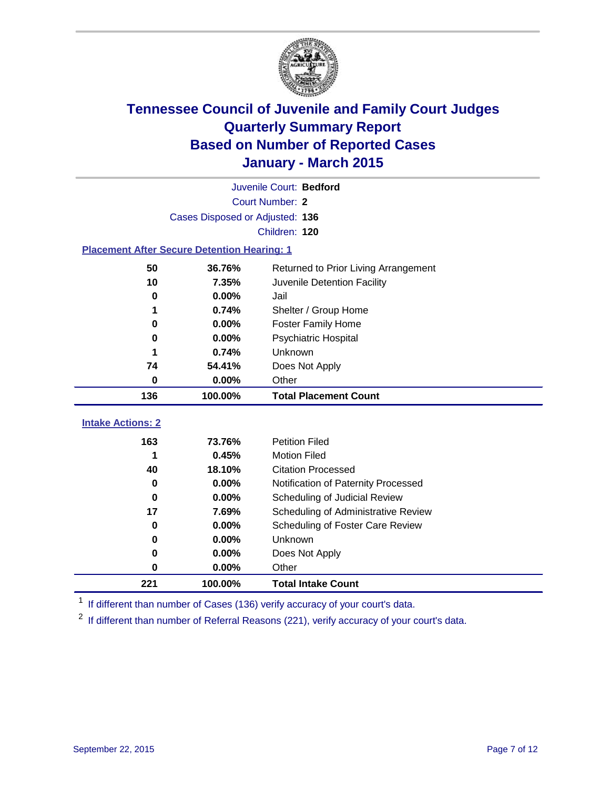

|                                                    | Juvenile Court: Bedford         |                                      |  |  |  |
|----------------------------------------------------|---------------------------------|--------------------------------------|--|--|--|
|                                                    | <b>Court Number: 2</b>          |                                      |  |  |  |
|                                                    | Cases Disposed or Adjusted: 136 |                                      |  |  |  |
|                                                    |                                 | Children: 120                        |  |  |  |
| <b>Placement After Secure Detention Hearing: 1</b> |                                 |                                      |  |  |  |
| 50                                                 | 36.76%                          | Returned to Prior Living Arrangement |  |  |  |
| 10                                                 | 7.35%                           | Juvenile Detention Facility          |  |  |  |
| $\bf{0}$                                           | 0.00%                           | Jail                                 |  |  |  |
| 1                                                  | 0.74%                           | Shelter / Group Home                 |  |  |  |
| $\bf{0}$                                           | 0.00%                           | <b>Foster Family Home</b>            |  |  |  |
| 0                                                  | 0.00%                           | <b>Psychiatric Hospital</b>          |  |  |  |
| 1                                                  | 0.74%                           | Unknown                              |  |  |  |
| 74                                                 | 54.41%                          | Does Not Apply                       |  |  |  |
| 0                                                  | 0.00%                           | Other                                |  |  |  |
| 136                                                | 100.00%                         | <b>Total Placement Count</b>         |  |  |  |
| <b>Intake Actions: 2</b>                           |                                 |                                      |  |  |  |
| 163                                                | 73.76%                          | <b>Petition Filed</b>                |  |  |  |
| 1                                                  | 0.45%                           | <b>Motion Filed</b>                  |  |  |  |
| 40                                                 | 18.10%                          | <b>Citation Processed</b>            |  |  |  |
| 0                                                  | 0.00%                           | Notification of Paternity Processed  |  |  |  |
| $\bf{0}$                                           | 0.00%                           | Scheduling of Judicial Review        |  |  |  |
| 17                                                 | 7.69%                           | Scheduling of Administrative Review  |  |  |  |
| 0                                                  | 0.00%                           | Scheduling of Foster Care Review     |  |  |  |
| 0                                                  | 0.00%                           | Unknown                              |  |  |  |
| 0                                                  | 0.00%                           | Does Not Apply                       |  |  |  |
| $\bf{0}$                                           | 0.00%                           | Other                                |  |  |  |
| 221                                                | 100.00%                         | <b>Total Intake Count</b>            |  |  |  |

<sup>1</sup> If different than number of Cases (136) verify accuracy of your court's data.

<sup>2</sup> If different than number of Referral Reasons (221), verify accuracy of your court's data.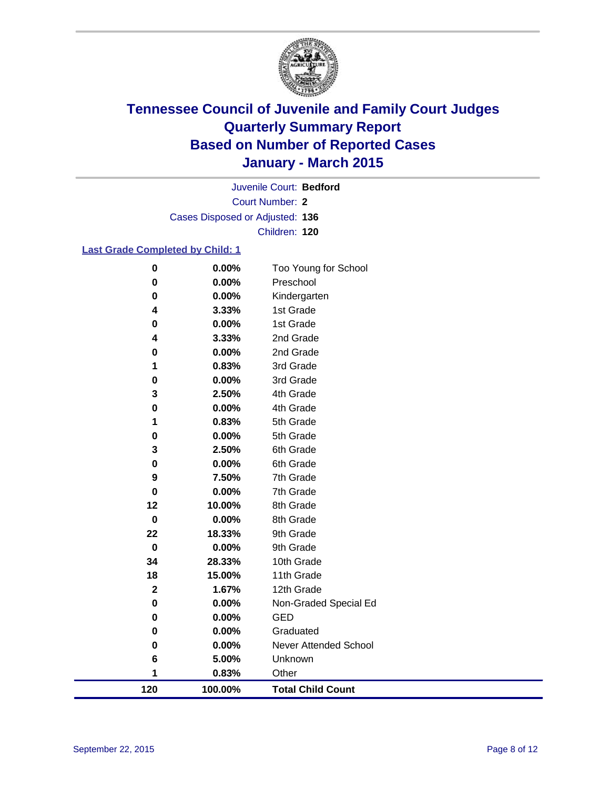

Court Number: **2** Juvenile Court: **Bedford** Cases Disposed or Adjusted: **136** Children: **120**

### **Last Grade Completed by Child: 1**

| 120         | 100.00%        | <b>Total Child Count</b>          |
|-------------|----------------|-----------------------------------|
| 1           | 0.83%          | Other                             |
| 6           | 5.00%          | Unknown                           |
| 0           | 0.00%          | <b>Never Attended School</b>      |
| 0           | 0.00%          | Graduated                         |
| 0           | 0.00%          | <b>GED</b>                        |
| 0           | 0.00%          | Non-Graded Special Ed             |
| $\mathbf 2$ | 1.67%          | 12th Grade                        |
| 18          | 15.00%         | 11th Grade                        |
| 34          | 28.33%         | 10th Grade                        |
| $\mathbf 0$ | 0.00%          | 9th Grade                         |
| 22          | 18.33%         | 9th Grade                         |
| $\pmb{0}$   | 0.00%          | 8th Grade                         |
| 12          | 10.00%         | 8th Grade                         |
| 0           | 0.00%          | 7th Grade                         |
| 9           | 7.50%          | 7th Grade                         |
| 0           | 0.00%          | 6th Grade                         |
| 3           | 2.50%          | 6th Grade                         |
| 0           | 0.00%          | 5th Grade                         |
| 1           | 0.83%          | 5th Grade                         |
| 0           | 0.00%          | 4th Grade                         |
| 3           | 2.50%          | 4th Grade                         |
| 0           | 0.00%          | 3rd Grade                         |
| 1           | 0.83%          | 3rd Grade                         |
| 0           | 0.00%          | 2nd Grade                         |
| 4           | 3.33%          | 2nd Grade                         |
| 0           | 0.00%          | 1st Grade                         |
| 0<br>4      | 3.33%          | Kindergarten<br>1st Grade         |
| 0           | 0.00%<br>0.00% |                                   |
|             |                | Too Young for School<br>Preschool |
| 0           | 0.00%          |                                   |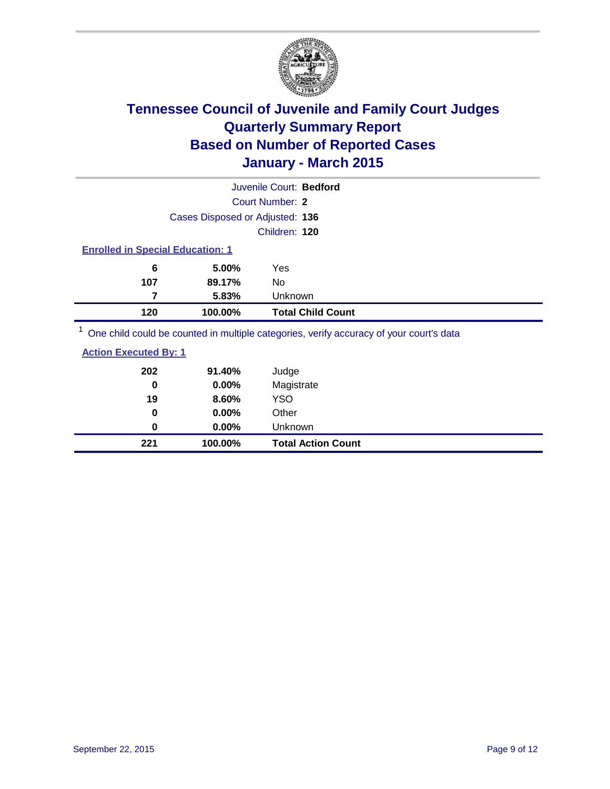

|                                                                                         |                                         | Juvenile Court: Bedford  |  |  |  |
|-----------------------------------------------------------------------------------------|-----------------------------------------|--------------------------|--|--|--|
|                                                                                         |                                         | Court Number: 2          |  |  |  |
|                                                                                         | Cases Disposed or Adjusted: 136         |                          |  |  |  |
|                                                                                         |                                         | Children: 120            |  |  |  |
|                                                                                         | <b>Enrolled in Special Education: 1</b> |                          |  |  |  |
| 6                                                                                       | 5.00%                                   | Yes                      |  |  |  |
| 107                                                                                     | 89.17%                                  | No                       |  |  |  |
| 5.83%<br>Unknown                                                                        |                                         |                          |  |  |  |
| 120                                                                                     | 100.00%                                 | <b>Total Child Count</b> |  |  |  |
| One child could be counted in multiple categories, verify accuracy of your court's data |                                         |                          |  |  |  |

| 221                          | 100.00%  | <b>Total Action Count</b> |
|------------------------------|----------|---------------------------|
| 0                            | $0.00\%$ | Unknown                   |
| 0                            | $0.00\%$ | Other                     |
| 19                           | 8.60%    | <b>YSO</b>                |
| 0                            | 0.00%    | Magistrate                |
| 202                          | 91.40%   | Judge                     |
| <b>Action Executed By: 1</b> |          |                           |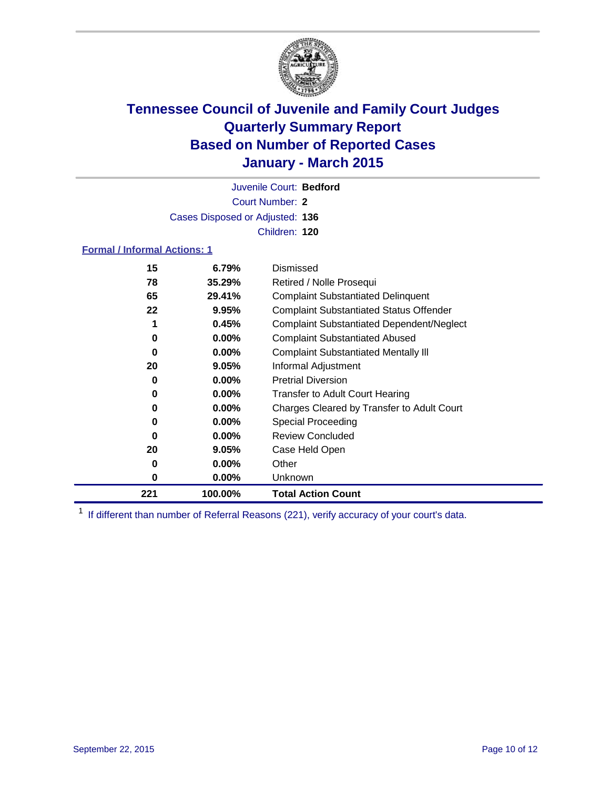

Court Number: **2** Juvenile Court: **Bedford** Cases Disposed or Adjusted: **136** Children: **120**

### **Formal / Informal Actions: 1**

| 15  | 6.79%    | Dismissed                                        |
|-----|----------|--------------------------------------------------|
| 78  | 35.29%   | Retired / Nolle Prosequi                         |
| 65  | 29.41%   | <b>Complaint Substantiated Delinquent</b>        |
| 22  | 9.95%    | <b>Complaint Substantiated Status Offender</b>   |
| 1   | 0.45%    | <b>Complaint Substantiated Dependent/Neglect</b> |
| 0   | $0.00\%$ | <b>Complaint Substantiated Abused</b>            |
| 0   | $0.00\%$ | <b>Complaint Substantiated Mentally III</b>      |
| 20  | 9.05%    | Informal Adjustment                              |
| 0   | $0.00\%$ | <b>Pretrial Diversion</b>                        |
| 0   | $0.00\%$ | <b>Transfer to Adult Court Hearing</b>           |
| 0   | $0.00\%$ | Charges Cleared by Transfer to Adult Court       |
| 0   | $0.00\%$ | Special Proceeding                               |
| 0   | $0.00\%$ | <b>Review Concluded</b>                          |
| 20  | $9.05\%$ | Case Held Open                                   |
| 0   | $0.00\%$ | Other                                            |
| 0   | $0.00\%$ | <b>Unknown</b>                                   |
| 221 | 100.00%  | <b>Total Action Count</b>                        |

<sup>1</sup> If different than number of Referral Reasons (221), verify accuracy of your court's data.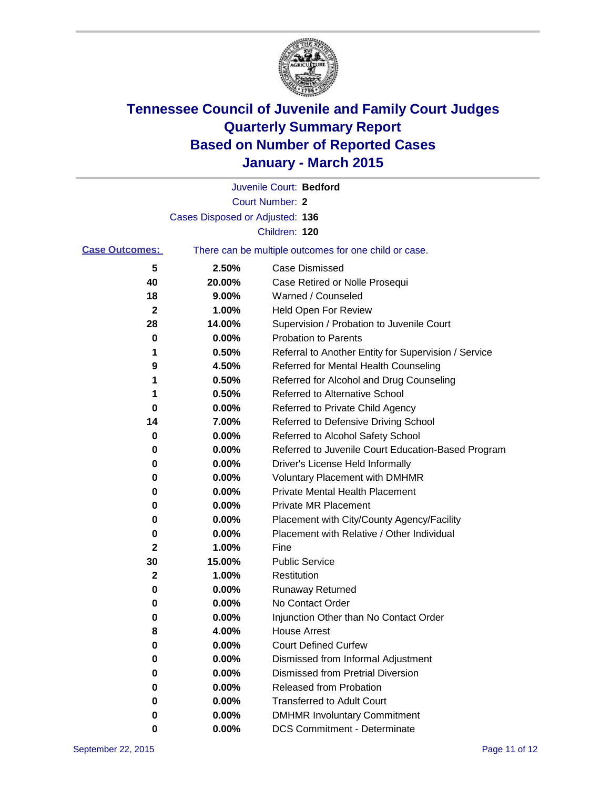

|                       |                                 | Juvenile Court: Bedford                               |
|-----------------------|---------------------------------|-------------------------------------------------------|
|                       |                                 | Court Number: 2                                       |
|                       | Cases Disposed or Adjusted: 136 |                                                       |
|                       |                                 | Children: 120                                         |
| <b>Case Outcomes:</b> |                                 | There can be multiple outcomes for one child or case. |
| 5                     | 2.50%                           | <b>Case Dismissed</b>                                 |
| 40                    | 20.00%                          | Case Retired or Nolle Prosequi                        |
| 18                    | 9.00%                           | Warned / Counseled                                    |
| 2                     | 1.00%                           | <b>Held Open For Review</b>                           |
| 28                    | 14.00%                          | Supervision / Probation to Juvenile Court             |
| 0                     | 0.00%                           | <b>Probation to Parents</b>                           |
| 1                     | 0.50%                           | Referral to Another Entity for Supervision / Service  |
| 9                     | 4.50%                           | Referred for Mental Health Counseling                 |
| 1                     | 0.50%                           | Referred for Alcohol and Drug Counseling              |
| 1                     | 0.50%                           | Referred to Alternative School                        |
| 0                     | 0.00%                           | Referred to Private Child Agency                      |
| 14                    | 7.00%                           | Referred to Defensive Driving School                  |
| 0                     | 0.00%                           | Referred to Alcohol Safety School                     |
| 0                     | 0.00%                           | Referred to Juvenile Court Education-Based Program    |
| 0                     | 0.00%                           | Driver's License Held Informally                      |
| 0                     | 0.00%                           | <b>Voluntary Placement with DMHMR</b>                 |
| 0                     | 0.00%                           | <b>Private Mental Health Placement</b>                |
| 0                     | 0.00%                           | <b>Private MR Placement</b>                           |
| 0                     | 0.00%                           | Placement with City/County Agency/Facility            |
| 0                     | 0.00%                           | Placement with Relative / Other Individual            |
| 2                     | 1.00%                           | Fine                                                  |
| 30                    | 15.00%                          | <b>Public Service</b>                                 |
| $\mathbf{2}$          | 1.00%                           | Restitution                                           |
| 0                     | 0.00%                           | <b>Runaway Returned</b>                               |
| 0                     | 0.00%                           | No Contact Order                                      |
| 0                     | 0.00%                           | Injunction Other than No Contact Order                |
| 8                     | 4.00%                           | <b>House Arrest</b>                                   |
| 0                     | 0.00%                           | <b>Court Defined Curfew</b>                           |
| 0                     | 0.00%                           | Dismissed from Informal Adjustment                    |
| 0                     | 0.00%                           | Dismissed from Pretrial Diversion                     |
| 0                     | 0.00%                           | Released from Probation                               |
| 0                     | 0.00%                           | <b>Transferred to Adult Court</b>                     |
| 0                     | 0.00%                           | <b>DMHMR Involuntary Commitment</b>                   |
| 0                     | $0.00\%$                        | <b>DCS Commitment - Determinate</b>                   |